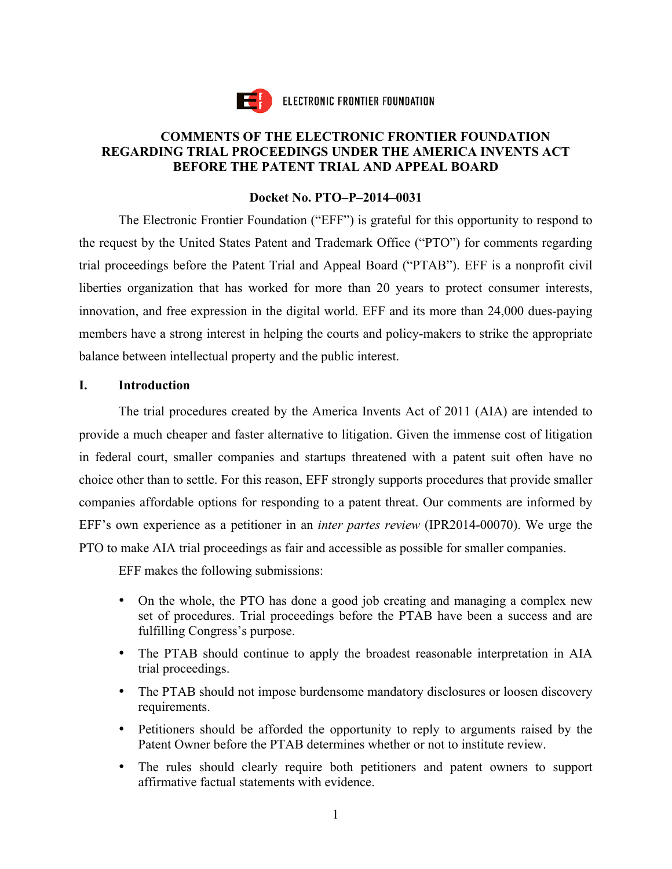

ELECTRONIC FRONTIER FOUNDATION

## **COMMENTS OF THE ELECTRONIC FRONTIER FOUNDATION REGARDING TRIAL PROCEEDINGS UNDER THE AMERICA INVENTS ACT BEFORE THE PATENT TRIAL AND APPEAL BOARD**

## **Docket No. PTO–P–2014–0031**

 The Electronic Frontier Foundation ("EFF") is grateful for this opportunity to respond to the request by the United States Patent and Trademark Office ("PTO") for comments regarding trial proceedings before the Patent Trial and Appeal Board ("PTAB"). EFF is a nonprofit civil liberties organization that has worked for more than 20 years to protect consumer interests, innovation, and free expression in the digital world. EFF and its more than 24,000 dues-paying members have a strong interest in helping the courts and policy-makers to strike the appropriate balance between intellectual property and the public interest.

## **I. Introduction**

 The trial procedures created by the America Invents Act of 2011 (AIA) are intended to provide a much cheaper and faster alternative to litigation. Given the immense cost of litigation in federal court, smaller companies and startups threatened with a patent suit often have no choice other than to settle. For this reason, EFF strongly supports procedures that provide smaller companies affordable options for responding to a patent threat. Our comments are informed by EFF's own experience as a petitioner in an *inter partes review* (IPR2014-00070). We urge the PTO to make AIA trial proceedings as fair and accessible as possible for smaller companies.

EFF makes the following submissions:

- On the whole, the PTO has done a good job creating and managing a complex new set of procedures. Trial proceedings before the PTAB have been a success and are fulfilling Congress's purpose.
- • The PTAB should continue to apply the broadest reasonable interpretation in AIA trial proceedings.
- The PTAB should not impose burdensome mandatory disclosures or loosen discovery requirements.
- • Petitioners should be afforded the opportunity to reply to arguments raised by the Patent Owner before the PTAB determines whether or not to institute review.
- • The rules should clearly require both petitioners and patent owners to support affirmative factual statements with evidence.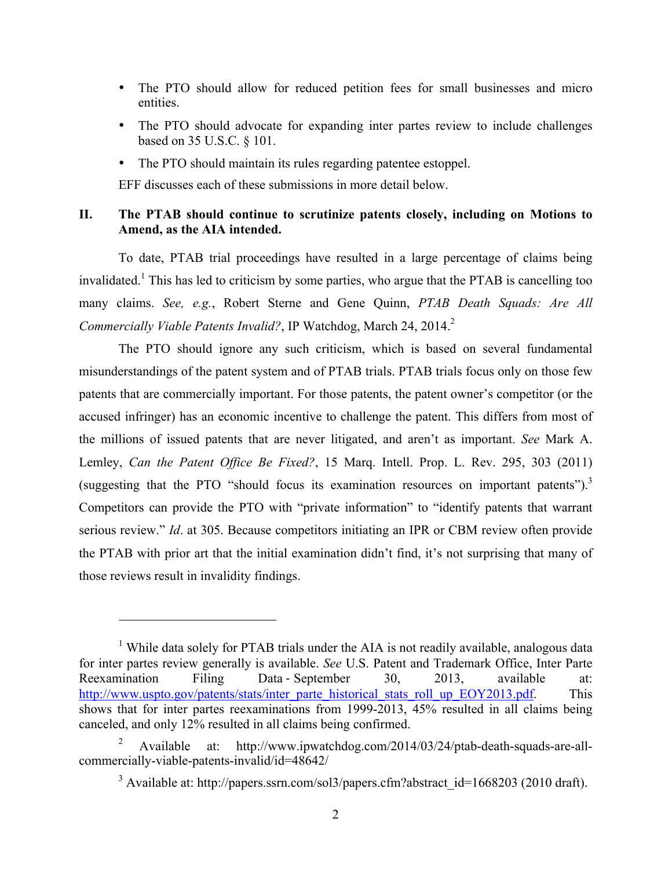- • The PTO should allow for reduced petition fees for small businesses and micro entities.
- • The PTO should advocate for expanding inter partes review to include challenges based on 35 U.S.C. § 101.
- The PTO should maintain its rules regarding patentee estoppel.

EFF discusses each of these submissions in more detail below.

## II. The PTAB should continue to scrutinize patents closely, including on Motions to **Amend, as the AIA intended.**

 To date, PTAB trial proceedings have resulted in a large percentage of claims being invalidated.<sup>1</sup> This has led to criticism by some parties, who argue that the PTAB is cancelling too many claims. *See, e.g.*, Robert Sterne and Gene Quinn, *PTAB Death Squads: Are All Commercially Viable Patents Invalid?*, IP Watchdog, March 24, 2014.<sup>2</sup>

 The PTO should ignore any such criticism, which is based on several fundamental misunderstandings of the patent system and of PTAB trials. PTAB trials focus only on those few patents that are commercially important. For those patents, the patent owner's competitor (or the accused infringer) has an economic incentive to challenge the patent. This differs from most of the millions of issued patents that are never litigated, and aren't as important. *See* Mark A. Lemley, *Can the Patent Office Be Fixed?*, 15 Marq. Intell. Prop. L. Rev. 295, 303 (2011) (suggesting that the PTO "should focus its examination resources on important patents"). $^3$  Competitors can provide the PTO with "private information" to "identify patents that warrant serious review." *Id*. at 305. Because competitors initiating an IPR or CBM review often provide the PTAB with prior art that the initial examination didn't find, it's not surprising that many of those reviews result in invalidity findings.

 $\overline{a}$ 

<sup>&</sup>lt;sup>1</sup> While data solely for PTAB trials under the AIA is not readily available, analogous data for inter partes review generally is available. *See* U.S. Patent and Trademark Office, Inter Parte Reexamination Filing Data - September 30, 2013, available at: shows that for inter partes reexaminations from 1999-2013, 45% resulted in all claims being http://www.uspto.gov/patents/stats/inter\_parte\_historical\_stats\_roll\_up\_EOY2013.pdf. This canceled, and only 12% resulted in all claims being confirmed.

<sup>2</sup> Available at: http://www.ipwatchdog.com/2014/03/24/ptab-death-squads-are-allcommercially-viable-patents-invalid/id=48642/

<sup>&</sup>lt;sup>3</sup> Available at: http://papers.ssrn.com/sol3/papers.cfm?abstract\_id=1668203 (2010 draft).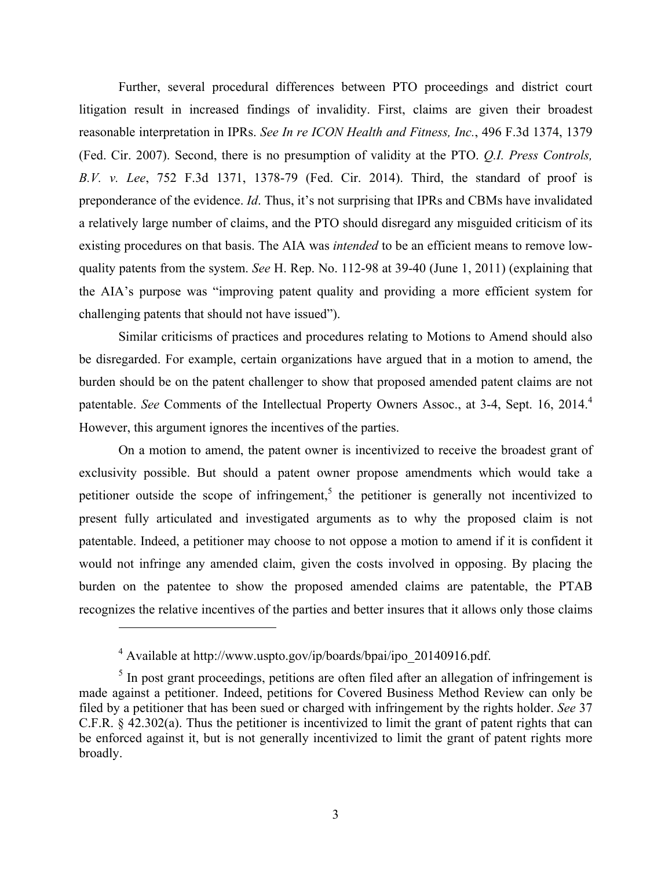Further, several procedural differences between PTO proceedings and district court litigation result in increased findings of invalidity. First, claims are given their broadest (Fed. Cir. 2007). Second, there is no presumption of validity at the PTO. *Q.I. Press Controls, B.V. v. Lee*, 752 F.3d 1371, 1378-79 (Fed. Cir. 2014). Third, the standard of proof is preponderance of the evidence. *Id*. Thus, it's not surprising that IPRs and CBMs have invalidated a relatively large number of claims, and the PTO should disregard any misguided criticism of its existing procedures on that basis. The AIA was *intended* to be an efficient means to remove low- quality patents from the system. *See* H. Rep. No. 112-98 at 39-40 (June 1, 2011) (explaining that the AIA's purpose was "improving patent quality and providing a more efficient system for reasonable interpretation in IPRs. *See In re ICON Health and Fitness, Inc.*, 496 F.3d 1374, 1379 challenging patents that should not have issued").

 Similar criticisms of practices and procedures relating to Motions to Amend should also be disregarded. For example, certain organizations have argued that in a motion to amend, the burden should be on the patent challenger to show that proposed amended patent claims are not patentable. *See* Comments of the Intellectual Property Owners Assoc., at 3-4, Sept. 16, 2014.<sup>4</sup> However, this argument ignores the incentives of the parties.

 On a motion to amend, the patent owner is incentivized to receive the broadest grant of exclusivity possible. But should a patent owner propose amendments which would take a petitioner outside the scope of infringement,<sup>5</sup> the petitioner is generally not incentivized to present fully articulated and investigated arguments as to why the proposed claim is not patentable. Indeed, a petitioner may choose to not oppose a motion to amend if it is confident it would not infringe any amended claim, given the costs involved in opposing. By placing the burden on the patentee to show the proposed amended claims are patentable, the PTAB recognizes the relative incentives of the parties and better insures that it allows only those claims

1

 $4$  Available at http://www.uspto.gov/ip/boards/bpai/ipo\_20140916.pdf.

 $<sup>5</sup>$  In post grant proceedings, petitions are often filed after an allegation of infringement is</sup> made against a petitioner. Indeed, petitions for Covered Business Method Review can only be filed by a petitioner that has been sued or charged with infringement by the rights holder. *See* 37 C.F.R. § 42.302(a). Thus the petitioner is incentivized to limit the grant of patent rights that can be enforced against it, but is not generally incentivized to limit the grant of patent rights more broadly.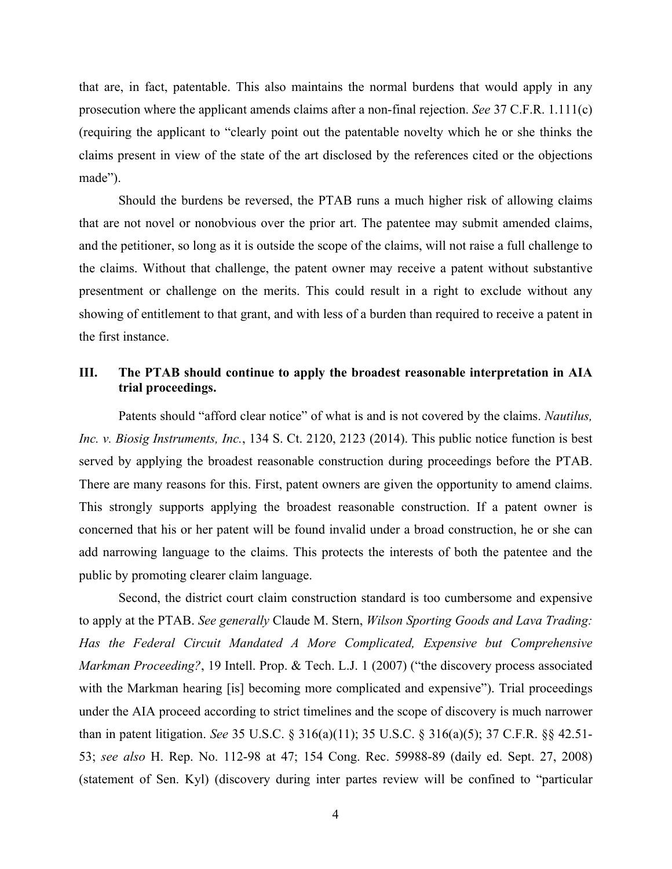that are, in fact, patentable. This also maintains the normal burdens that would apply in any prosecution where the applicant amends claims after a non-final rejection. *See* 37 C.F.R. 1.111(c) (requiring the applicant to "clearly point out the patentable novelty which he or she thinks the claims present in view of the state of the art disclosed by the references cited or the objections made").

 Should the burdens be reversed, the PTAB runs a much higher risk of allowing claims that are not novel or nonobvious over the prior art. The patentee may submit amended claims, and the petitioner, so long as it is outside the scope of the claims, will not raise a full challenge to the claims. Without that challenge, the patent owner may receive a patent without substantive presentment or challenge on the merits. This could result in a right to exclude without any showing of entitlement to that grant, and with less of a burden than required to receive a patent in the first instance.

### III. The PTAB should continue to apply the broadest reasonable interpretation in AIA **trial proceedings.**

 Patents should "afford clear notice" of what is and is not covered by the claims. *Nautilus, Inc. v. Biosig Instruments, Inc.*, 134 S. Ct. 2120, 2123 (2014). This public notice function is best served by applying the broadest reasonable construction during proceedings before the PTAB. There are many reasons for this. First, patent owners are given the opportunity to amend claims. This strongly supports applying the broadest reasonable construction. If a patent owner is concerned that his or her patent will be found invalid under a broad construction, he or she can add narrowing language to the claims. This protects the interests of both the patentee and the public by promoting clearer claim language.

 Second, the district court claim construction standard is too cumbersome and expensive to apply at the PTAB. *See generally* Claude M. Stern, *Wilson Sporting Goods and Lava Trading:*  Has the Federal Circuit Mandated A More Complicated, Expensive but Comprehensive *Markman Proceeding?*, 19 Intell. Prop. & Tech. L.J. 1 (2007) ("the discovery process associated with the Markman hearing [is] becoming more complicated and expensive"). Trial proceedings under the AIA proceed according to strict timelines and the scope of discovery is much narrower 53; *see also* H. Rep. No. 112-98 at 47; 154 Cong. Rec. 59988-89 (daily ed. Sept. 27, 2008) (statement of Sen. Kyl) (discovery during inter partes review will be confined to "particular than in patent litigation. *See* 35 U.S.C. § 316(a)(11); 35 U.S.C. § 316(a)(5); 37 C.F.R. §§ 42.51-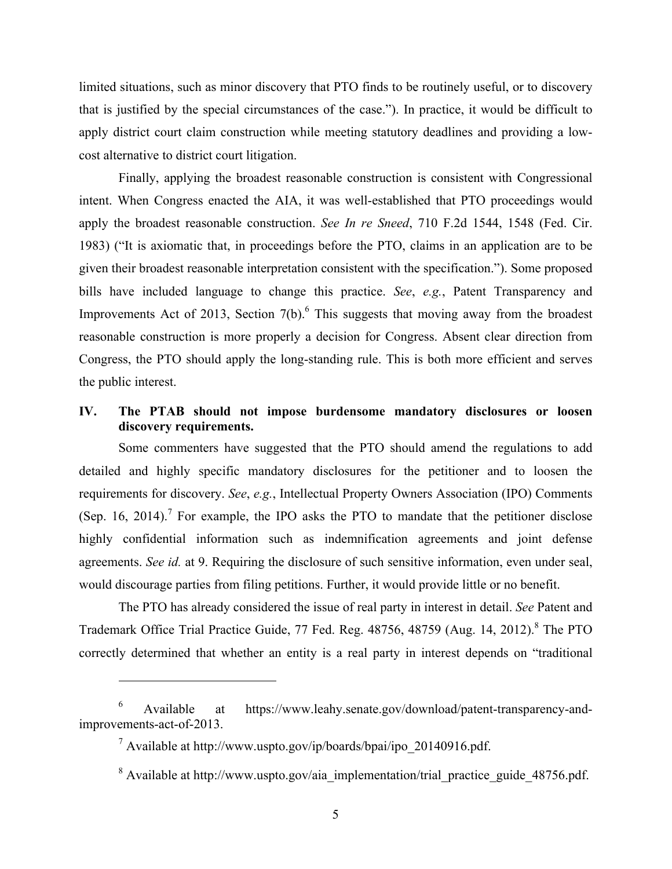limited situations, such as minor discovery that PTO finds to be routinely useful, or to discovery that is justified by the special circumstances of the case."). In practice, it would be difficult to apply district court claim construction while meeting statutory deadlines and providing a lowcost alternative to district court litigation.

 Finally, applying the broadest reasonable construction is consistent with Congressional intent. When Congress enacted the AIA, it was well-established that PTO proceedings would apply the broadest reasonable construction. *See In re Sneed*, 710 F.2d 1544, 1548 (Fed. Cir. 1983) ("It is axiomatic that, in proceedings before the PTO, claims in an application are to be given their broadest reasonable interpretation consistent with the specification."). Some proposed bills have included language to change this practice. *See*, *e.g.*, Patent Transparency and Improvements Act of 2013, Section  $7(b)$ .<sup>6</sup> This suggests that moving away from the broadest reasonable construction is more properly a decision for Congress. Absent clear direction from Congress, the PTO should apply the long-standing rule. This is both more efficient and serves the public interest.

## IV. The PTAB should not impose burdensome mandatory disclosures or loosen **discovery requirements.**

 Some commenters have suggested that the PTO should amend the regulations to add detailed and highly specific mandatory disclosures for the petitioner and to loosen the requirements for discovery. *See*, *e.g.*, Intellectual Property Owners Association (IPO) Comments (Sep. 16, 2014).<sup>7</sup> For example, the IPO asks the PTO to mandate that the petitioner disclose highly confidential information such as indemnification agreements and joint defense agreements. *See id.* at 9. Requiring the disclosure of such sensitive information, even under seal, would discourage parties from filing petitions. Further, it would provide little or no benefit.

 The PTO has already considered the issue of real party in interest in detail. *See* Patent and Trademark Office Trial Practice Guide, 77 Fed. Reg. 48756, 48759 (Aug. 14, 2012).<sup>8</sup> The PTO correctly determined that whether an entity is a real party in interest depends on "traditional

<u>.</u>

Available 6 Available at https://www.leahy.senate.gov/download/patent-transparency-andimprovements-act-of-2013.

 $^7$  Available at http://www.uspto.gov/ip/boards/bpai/ipo\_20140916.pdf.

<sup>&</sup>lt;sup>8</sup> Available at http://www.uspto.gov/aia\_implementation/trial\_practice\_guide\_48756.pdf.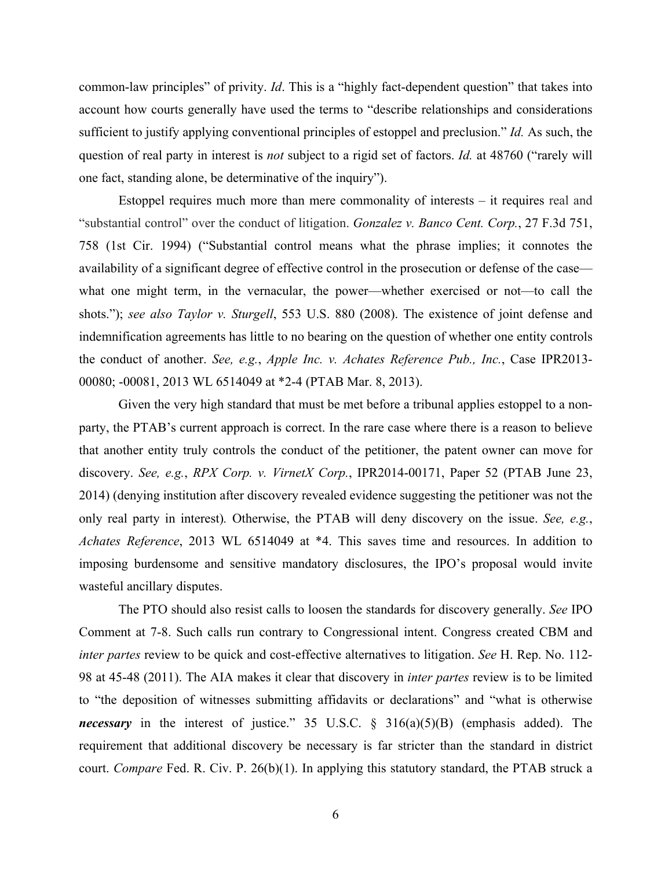common-law principles" of privity. *Id*. This is a "highly fact-dependent question" that takes into account how courts generally have used the terms to "describe relationships and considerations sufficient to justify applying conventional principles of estoppel and preclusion." *Id.* As such, the question of real party in interest is *not* subject to a rigid set of factors. *Id.* at 48760 ("rarely will one fact, standing alone, be determinative of the inquiry").

 Estoppel requires much more than mere commonality of interests – it requires real and "substantial control" over the conduct of litigation. *Gonzalez v. Banco Cent. Corp.*, 27 F.3d 751, 758 (1st Cir. 1994) ("Substantial control means what the phrase implies; it connotes the availability of a significant degree of effective control in the prosecution or defense of the case— what one might term, in the vernacular, the power—whether exercised or not—to call the  shots."); *see also Taylor v. Sturgell*, 553 U.S. 880 (2008). The existence of joint defense and indemnification agreements has little to no bearing on the question of whether one entity controls the conduct of another. *See, e.g.*, *Apple Inc. v. Achates Reference Pub., Inc.*, Case IPR2013- 00080; -00081, 2013 WL 6514049 at \*2-4 (PTAB Mar. 8, 2013).

 Given the very high standard that must be met before a tribunal applies estoppel to a non- party, the PTAB's current approach is correct. In the rare case where there is a reason to believe that another entity truly controls the conduct of the petitioner, the patent owner can move for  discovery. *See, e.g.*, *RPX Corp. v. VirnetX Corp.*, IPR2014-00171, Paper 52 (PTAB June 23, 2014) (denying institution after discovery revealed evidence suggesting the petitioner was not the only real party in interest)*.* Otherwise, the PTAB will deny discovery on the issue. *See, e.g.*, *Achates Reference*, 2013 WL 6514049 at \*4. This saves time and resources. In addition to imposing burdensome and sensitive mandatory disclosures, the IPO's proposal would invite wasteful ancillary disputes.

 The PTO should also resist calls to loosen the standards for discovery generally. *See* IPO Comment at 7-8. Such calls run contrary to Congressional intent. Congress created CBM and *inter partes* review to be quick and cost-effective alternatives to litigation. *See* H. Rep. No. 112- 98 at 45-48 (2011). The AIA makes it clear that discovery in *inter partes* review is to be limited to "the deposition of witnesses submitting affidavits or declarations" and "what is otherwise *necessary* in the interest of justice." 35 U.S.C. § 316(a)(5)(B) (emphasis added). The requirement that additional discovery be necessary is far stricter than the standard in district court. *Compare* Fed. R. Civ. P. 26(b)(1). In applying this statutory standard, the PTAB struck a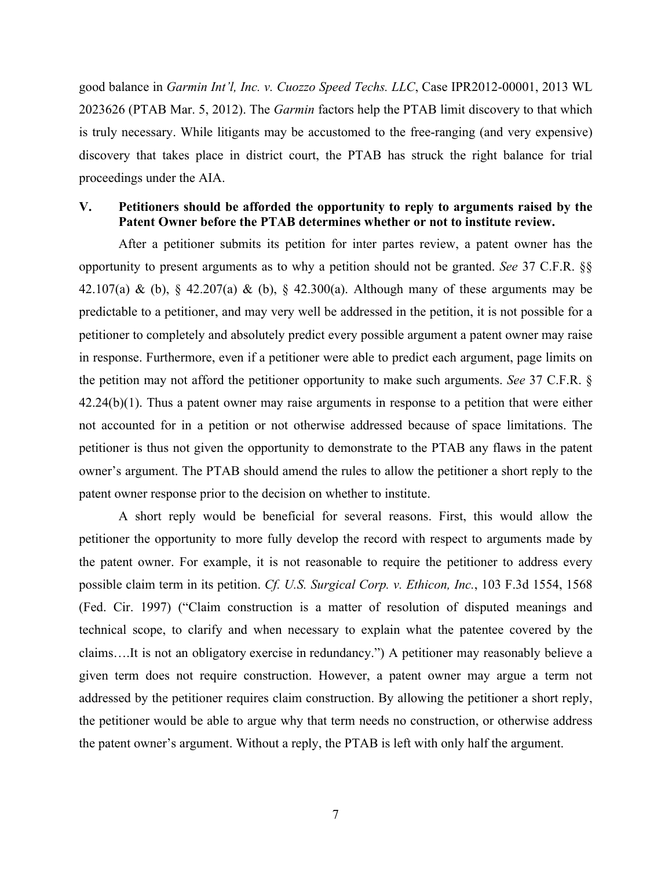2023626 (PTAB Mar. 5, 2012). The *Garmin* factors help the PTAB limit discovery to that which is truly necessary. While litigants may be accustomed to the free-ranging (and very expensive) discovery that takes place in district court, the PTAB has struck the right balance for trial good balance in *Garmin Int'l, Inc. v. Cuozzo Speed Techs. LLC*, Case IPR2012-00001, 2013 WL proceedings under the AIA.

### **V. Petitioners should be afforded the opportunity to reply to arguments raised by the Patent Owner before the PTAB determines whether or not to institute review.**

 After a petitioner submits its petition for inter partes review, a patent owner has the opportunity to present arguments as to why a petition should not be granted. *See* 37 C.F.R. §§ 42.107(a) & (b),  $\S$  42.207(a) & (b),  $\S$  42.300(a). Although many of these arguments may be predictable to a petitioner, and may very well be addressed in the petition, it is not possible for a petitioner to completely and absolutely predict every possible argument a patent owner may raise in response. Furthermore, even if a petitioner were able to predict each argument, page limits on the petition may not afford the petitioner opportunity to make such arguments. *See* 37 C.F.R. § 42.24(b)(1). Thus a patent owner may raise arguments in response to a petition that were either not accounted for in a petition or not otherwise addressed because of space limitations. The petitioner is thus not given the opportunity to demonstrate to the PTAB any flaws in the patent owner's argument. The PTAB should amend the rules to allow the petitioner a short reply to the patent owner response prior to the decision on whether to institute.

 A short reply would be beneficial for several reasons. First, this would allow the petitioner the opportunity to more fully develop the record with respect to arguments made by the patent owner. For example, it is not reasonable to require the petitioner to address every possible claim term in its petition. *Cf. U.S. Surgical Corp. v. Ethicon, Inc.*, 103 F.3d 1554, 1568 (Fed. Cir. 1997) ("Claim construction is a matter of resolution of disputed meanings and technical scope, to clarify and when necessary to explain what the patentee covered by the claims….It is not an obligatory exercise in redundancy.") A petitioner may reasonably believe a given term does not require construction. However, a patent owner may argue a term not addressed by the petitioner requires claim construction. By allowing the petitioner a short reply, the petitioner would be able to argue why that term needs no construction, or otherwise address the patent owner's argument. Without a reply, the PTAB is left with only half the argument.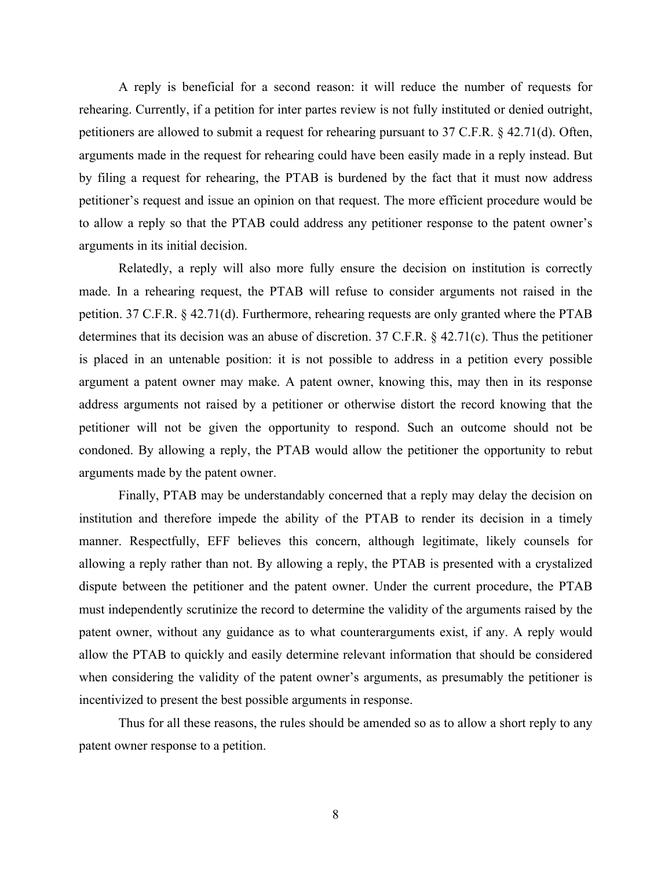A reply is beneficial for a second reason: it will reduce the number of requests for rehearing. Currently, if a petition for inter partes review is not fully instituted or denied outright, petitioners are allowed to submit a request for rehearing pursuant to 37 C.F.R. § 42.71(d). Often, arguments made in the request for rehearing could have been easily made in a reply instead. But by filing a request for rehearing, the PTAB is burdened by the fact that it must now address petitioner's request and issue an opinion on that request. The more efficient procedure would be to allow a reply so that the PTAB could address any petitioner response to the patent owner's arguments in its initial decision.

 Relatedly, a reply will also more fully ensure the decision on institution is correctly made. In a rehearing request, the PTAB will refuse to consider arguments not raised in the petition. 37 C.F.R. § 42.71(d). Furthermore, rehearing requests are only granted where the PTAB determines that its decision was an abuse of discretion. 37 C.F.R. § 42.71(c). Thus the petitioner is placed in an untenable position: it is not possible to address in a petition every possible argument a patent owner may make. A patent owner, knowing this, may then in its response address arguments not raised by a petitioner or otherwise distort the record knowing that the petitioner will not be given the opportunity to respond. Such an outcome should not be condoned. By allowing a reply, the PTAB would allow the petitioner the opportunity to rebut arguments made by the patent owner.

 Finally, PTAB may be understandably concerned that a reply may delay the decision on institution and therefore impede the ability of the PTAB to render its decision in a timely manner. Respectfully, EFF believes this concern, although legitimate, likely counsels for allowing a reply rather than not. By allowing a reply, the PTAB is presented with a crystalized dispute between the petitioner and the patent owner. Under the current procedure, the PTAB must independently scrutinize the record to determine the validity of the arguments raised by the patent owner, without any guidance as to what counterarguments exist, if any. A reply would allow the PTAB to quickly and easily determine relevant information that should be considered when considering the validity of the patent owner's arguments, as presumably the petitioner is incentivized to present the best possible arguments in response.

 Thus for all these reasons, the rules should be amended so as to allow a short reply to any patent owner response to a petition.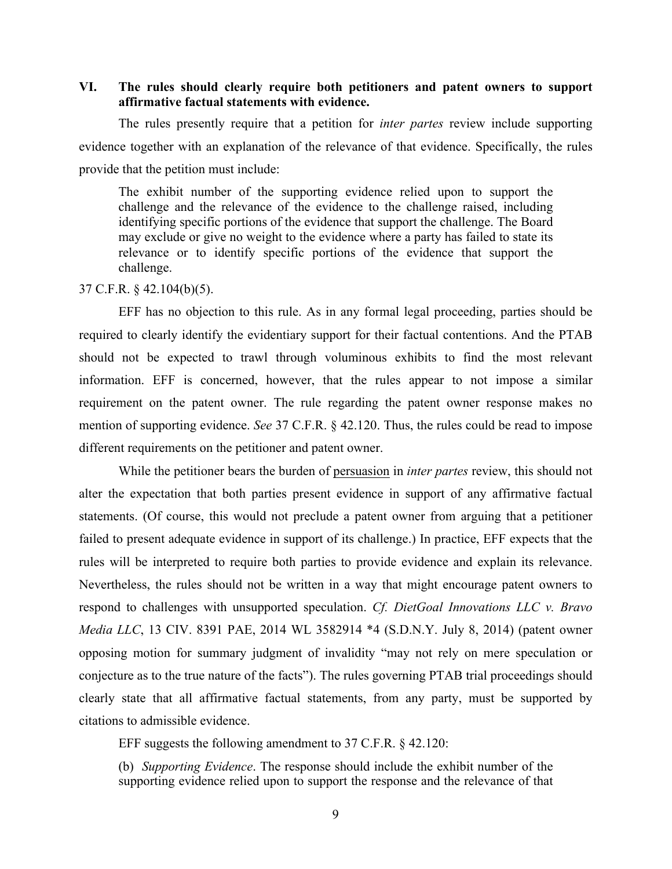### **VI. The rules should clearly require both petitioners and patent owners to support affirmative factual statements with evidence.**

 The rules presently require that a petition for *inter partes* review include supporting evidence together with an explanation of the relevance of that evidence. Specifically, the rules provide that the petition must include:

 The exhibit number of the supporting evidence relied upon to support the challenge and the relevance of the evidence to the challenge raised, including identifying specific portions of the evidence that support the challenge. The Board may exclude or give no weight to the evidence where a party has failed to state its relevance or to identify specific portions of the evidence that support the challenge.

#### 37 C.F.R. § 42.104(b)(5).

 EFF has no objection to this rule. As in any formal legal proceeding, parties should be should not be expected to trawl through voluminous exhibits to find the most relevant information. EFF is concerned, however, that the rules appear to not impose a similar requirement on the patent owner. The rule regarding the patent owner response makes no mention of supporting evidence. *See* 37 C.F.R. § 42.120. Thus, the rules could be read to impose required to clearly identify the evidentiary support for their factual contentions. And the PTAB different requirements on the petitioner and patent owner.

 While the petitioner bears the burden of persuasion in *inter partes* review, this should not alter the expectation that both parties present evidence in support of any affirmative factual statements. (Of course, this would not preclude a patent owner from arguing that a petitioner failed to present adequate evidence in support of its challenge.) In practice, EFF expects that the rules will be interpreted to require both parties to provide evidence and explain its relevance. Nevertheless, the rules should not be written in a way that might encourage patent owners to  respond to challenges with unsupported speculation. *Cf. DietGoal Innovations LLC v. Bravo Media LLC*, 13 CIV. 8391 PAE, 2014 WL 3582914 \*4 (S.D.N.Y. July 8, 2014) (patent owner opposing motion for summary judgment of invalidity "may not rely on mere speculation or conjecture as to the true nature of the facts"). The rules governing PTAB trial proceedings should clearly state that all affirmative factual statements, from any party, must be supported by citations to admissible evidence.

EFF suggests the following amendment to 37 C.F.R.  $\S$  42.120:

 EFF suggests the following amendment to 37 C.F.R. § 42.120: (b) *Supporting Evidence*. The response should include the exhibit number of the supporting evidence relied upon to support the response and the relevance of that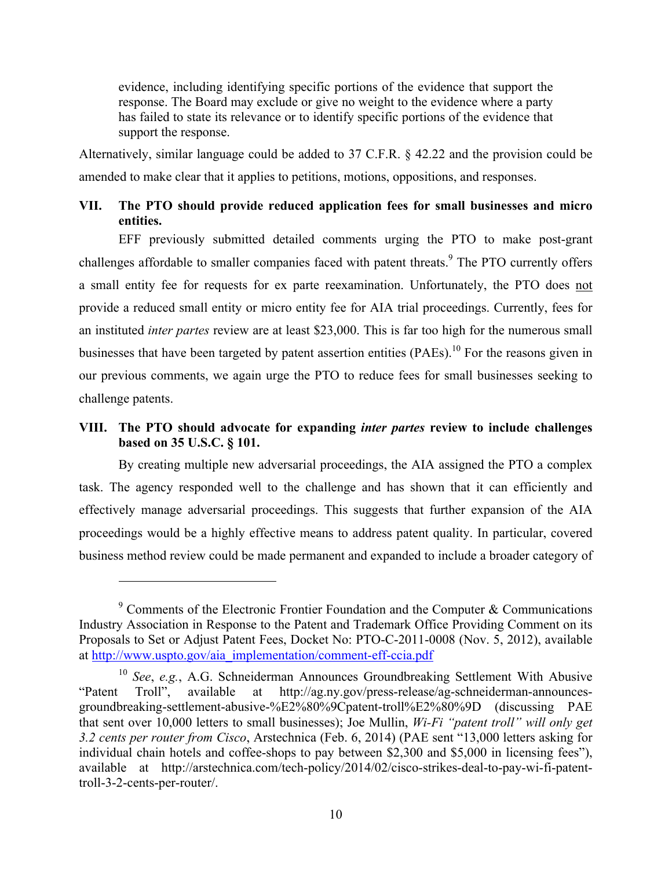evidence, including identifying specific portions of the evidence that support the response. The Board may exclude or give no weight to the evidence where a party has failed to state its relevance or to identify specific portions of the evidence that support the response.

 Alternatively, similar language could be added to 37 C.F.R. § 42.22 and the provision could be amended to make clear that it applies to petitions, motions, oppositions, and responses.

# **VII. The PTO should provide reduced application fees for small businesses and micro entities.**

 EFF previously submitted detailed comments urging the PTO to make post-grant challenges affordable to smaller companies faced with patent threats.<sup>9</sup> The PTO currently offers a small entity fee for requests for ex parte reexamination. Unfortunately, the PTO does not provide a reduced small entity or micro entity fee for AIA trial proceedings. Currently, fees for  an instituted *inter partes* review are at least \$23,000. This is far too high for the numerous small businesses that have been targeted by patent assertion entities  $(PAEs)$ .<sup>10</sup> For the reasons given in our previous comments, we again urge the PTO to reduce fees for small businesses seeking to challenge patents.

# **VIII. The PTO should advocate for expanding** *inter partes* **review to include challenges based on 35 U.S.C. § 101.**

 By creating multiple new adversarial proceedings, the AIA assigned the PTO a complex task. The agency responded well to the challenge and has shown that it can efficiently and effectively manage adversarial proceedings. This suggests that further expansion of the AIA proceedings would be a highly effective means to address patent quality. In particular, covered business method review could be made permanent and expanded to include a broader category of

<u>.</u>

 $9^9$  Comments of the Electronic Frontier Foundation and the Computer & Communications Industry Association in Response to the Patent and Trademark Office Providing Comment on its Proposals to Set or Adjust Patent Fees, Docket No: PTO-C-2011-0008 (Nov. 5, 2012), available at http://www.uspto.gov/aia\_implementation/comment-eff-ccia.pdf

<sup>&</sup>quot;Patent" that sent over 10,000 letters to small businesses); Joe Mullin, *Wi-Fi "patent troll" will only get 3.2 cents per router from Cisco*, Arstechnica (Feb. 6, 2014) (PAE sent "13,000 letters asking for individual chain hotels and coffee-shops to pay between \$2,300 and \$5,000 in licensing fees"), available at http://arstechnica.com/tech-policy/2014/02/cisco-strikes-deal-to-pay-wi-fi-patent-<sup>10</sup>*See*, *e.g.*, A.G. Schneiderman Announces Groundbreaking Settlement With Abusive Troll", available at http://ag.ny.gov/press-release/ag-schneiderman-announcesgroundbreaking-settlement-abusive-%E2%80%9Cpatent-troll%E2%80%9D (discussing PAE troll-3-2-cents-per-router/.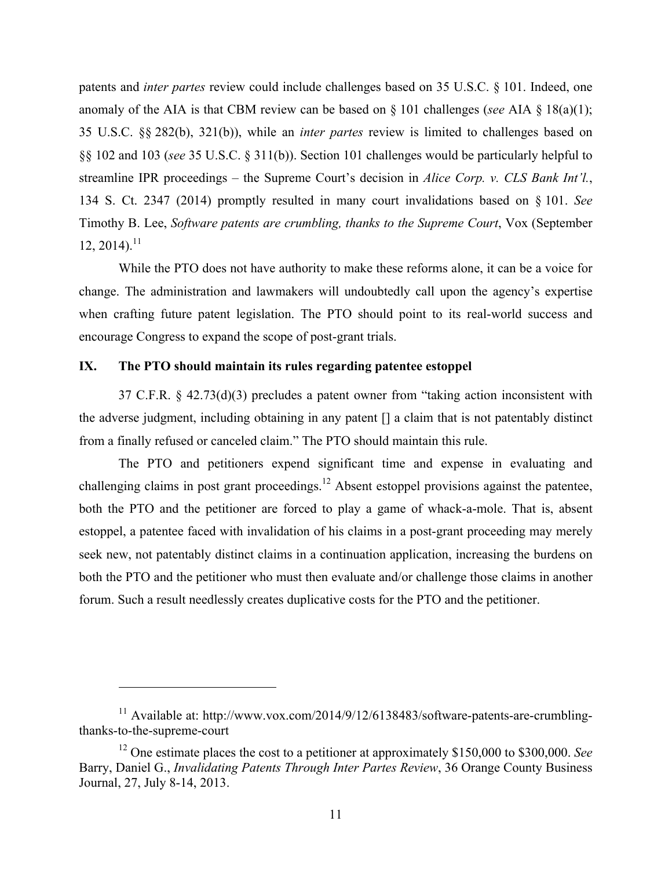patents and *inter partes* review could include challenges based on 35 U.S.C. § 101. Indeed, one anomaly of the AIA is that CBM review can be based on § 101 challenges (*see* AIA § 18(a)(1); 35 U.S.C. §§ 282(b), 321(b)), while an *inter partes* review is limited to challenges based on §§ 102 and 103 (*see* 35 U.S.C. § 311(b)). Section 101 challenges would be particularly helpful to streamline IPR proceedings – the Supreme Court's decision in *Alice Corp. v. CLS Bank Int'l.*, 134 S. Ct. 2347 (2014) promptly resulted in many court invalidations based on § 101. *See*  Timothy B. Lee, *Software patents are crumbling, thanks to the Supreme Court*, Vox (September  $12, 2014$ <sup>11</sup>

 While the PTO does not have authority to make these reforms alone, it can be a voice for change. The administration and lawmakers will undoubtedly call upon the agency's expertise when crafting future patent legislation. The PTO should point to its real-world success and encourage Congress to expand the scope of post-grant trials.

#### **IX. The PTO should maintain its rules regarding patentee estoppel**

<u>.</u>

 37 C.F.R. § 42.73(d)(3) precludes a patent owner from "taking action inconsistent with the adverse judgment, including obtaining in any patent [] a claim that is not patentably distinct from a finally refused or canceled claim." The PTO should maintain this rule.

 The PTO and petitioners expend significant time and expense in evaluating and challenging claims in post grant proceedings.<sup>12</sup> Absent estoppel provisions against the patentee, both the PTO and the petitioner are forced to play a game of whack-a-mole. That is, absent estoppel, a patentee faced with invalidation of his claims in a post-grant proceeding may merely seek new, not patentably distinct claims in a continuation application, increasing the burdens on both the PTO and the petitioner who must then evaluate and/or challenge those claims in another forum. Such a result needlessly creates duplicative costs for the PTO and the petitioner.

<sup>&</sup>lt;sup>11</sup> Available at: http://www.vox.com/2014/9/12/6138483/software-patents-are-crumblingthanks-to-the-supreme-court

 12 One estimate places the cost to a petitioner at approximately \$150,000 to \$300,000. *See*  Barry, Daniel G., *Invalidating Patents Through Inter Partes Review*, 36 Orange County Business Journal, 27, July 8-14, 2013.<br>11